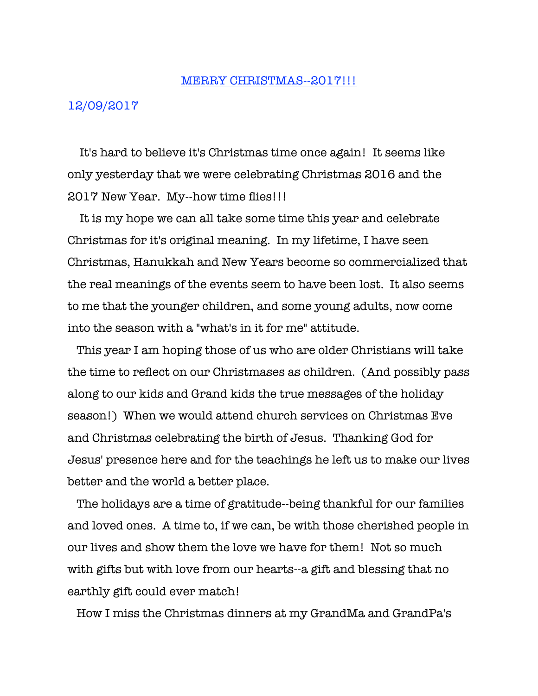## MERRY CHRISTMAS--2017!!!

## 12/09/2017

 It's hard to believe it's Christmas time once again! It seems like only yesterday that we were celebrating Christmas 2016 and the 2017 New Year. My--how time flies!!!

 It is my hope we can all take some time this year and celebrate Christmas for it's original meaning. In my lifetime, I have seen Christmas, Hanukkah and New Years become so commercialized that the real meanings of the events seem to have been lost. It also seems to me that the younger children, and some young adults, now come into the season with a "what's in it for me" attitude.

 This year I am hoping those of us who are older Christians will take the time to reflect on our Christmases as children. (And possibly pass along to our kids and Grand kids the true messages of the holiday season!) When we would attend church services on Christmas Eve and Christmas celebrating the birth of Jesus. Thanking God for Jesus' presence here and for the teachings he left us to make our lives better and the world a better place.

 The holidays are a time of gratitude--being thankful for our families and loved ones. A time to, if we can, be with those cherished people in our lives and show them the love we have for them! Not so much with gifts but with love from our hearts--a gift and blessing that no earthly gift could ever match!

How I miss the Christmas dinners at my GrandMa and GrandPa's